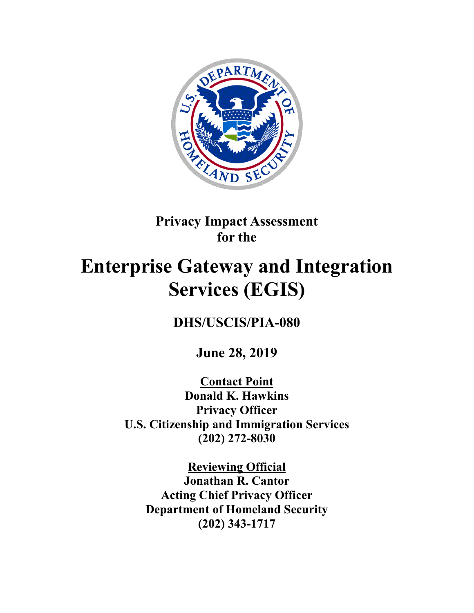

# **Privacy Impact Assessment for the**

# **Enterprise Gateway and Integration Services (EGIS)**

**DHS/USCIS/PIA-080**

**June 28, 2019**

**Contact Point Donald K. Hawkins Privacy Officer U.S. Citizenship and Immigration Services (202) 272-8030**

**Reviewing Official Jonathan R. Cantor Acting Chief Privacy Officer Department of Homeland Security (202) 343-1717**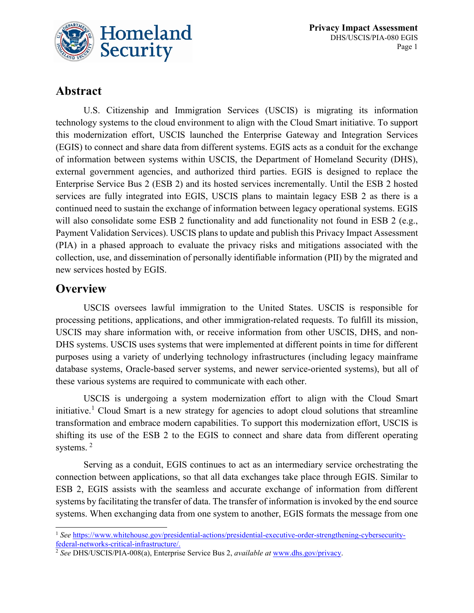

# **Abstract**

U.S. Citizenship and Immigration Services (USCIS) is migrating its information technology systems to the cloud environment to align with the Cloud Smart initiative. To support this modernization effort, USCIS launched the Enterprise Gateway and Integration Services (EGIS) to connect and share data from different systems. EGIS acts as a conduit for the exchange of information between systems within USCIS, the Department of Homeland Security (DHS), external government agencies, and authorized third parties. EGIS is designed to replace the Enterprise Service Bus 2 (ESB 2) and its hosted services incrementally. Until the ESB 2 hosted services are fully integrated into EGIS, USCIS plans to maintain legacy ESB 2 as there is a continued need to sustain the exchange of information between legacy operational systems. EGIS will also consolidate some ESB 2 functionality and add functionality not found in ESB 2 (e.g., Payment Validation Services). USCIS plans to update and publish this Privacy Impact Assessment (PIA) in a phased approach to evaluate the privacy risks and mitigations associated with the collection, use, and dissemination of personally identifiable information (PII) by the migrated and new services hosted by EGIS.

### **Overview**

USCIS oversees lawful immigration to the United States. USCIS is responsible for processing petitions, applications, and other immigration-related requests. To fulfill its mission, USCIS may share information with, or receive information from other USCIS, DHS, and non-DHS systems. USCIS uses systems that were implemented at different points in time for different purposes using a variety of underlying technology infrastructures (including legacy mainframe database systems, Oracle-based server systems, and newer service-oriented systems), but all of these various systems are required to communicate with each other.

USCIS is undergoing a system modernization effort to align with the Cloud Smart initiative.<sup>[1](#page-1-0)</sup> Cloud Smart is a new strategy for agencies to adopt cloud solutions that streamline transformation and embrace modern capabilities. To support this modernization effort, USCIS is shifting its use of the ESB 2 to the EGIS to connect and share data from different operating systems.<sup>[2](#page-1-1)</sup>

Serving as a conduit, EGIS continues to act as an intermediary service orchestrating the connection between applications, so that all data exchanges take place through EGIS. Similar to ESB 2, EGIS assists with the seamless and accurate exchange of information from different systems by facilitating the transfer of data. The transfer of information is invoked by the end source systems. When exchanging data from one system to another, EGIS formats the message from one

<span id="page-1-0"></span><sup>&</sup>lt;sup>1</sup> See [https://www.whitehouse.gov/presidential-actions/presidential-executive-order-strengthening-cybersecurity](https://www.whitehouse.gov/presidential-actions/presidential-executive-order-strengthening-cybersecurity-federal-networks-critical-infrastructure/)[federal-networks-critical-infrastructure/.](https://www.whitehouse.gov/presidential-actions/presidential-executive-order-strengthening-cybersecurity-federal-networks-critical-infrastructure/)

<span id="page-1-1"></span><sup>2</sup> *See* DHS/USCIS/PIA-008(a), Enterprise Service Bus 2, *available at* [www.dhs.gov/privacy.](http://www.dhs.gov/privacy)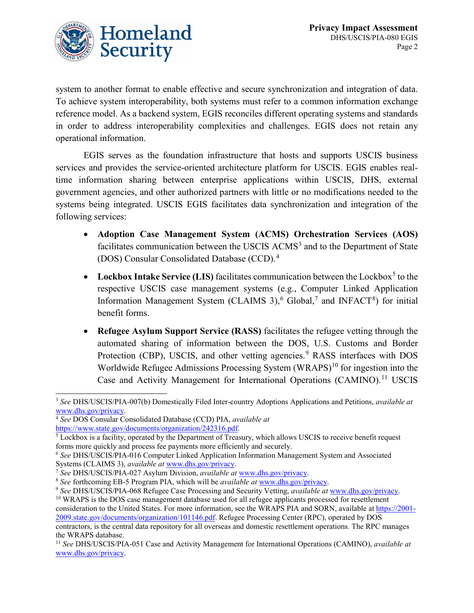

system to another format to enable effective and secure synchronization and integration of data. To achieve system interoperability, both systems must refer to a common information exchange reference model. As a backend system, EGIS reconciles different operating systems and standards in order to address interoperability complexities and challenges. EGIS does not retain any operational information.

EGIS serves as the foundation infrastructure that hosts and supports USCIS business services and provides the service-oriented architecture platform for USCIS. EGIS enables realtime information sharing between enterprise applications within USCIS, DHS, external government agencies, and other authorized partners with little or no modifications needed to the systems being integrated. USCIS EGIS facilitates data synchronization and integration of the following services:

- **Adoption Case Management System (ACMS) Orchestration Services (AOS)** facilitates communication between the USCIS ACMS<sup>[3](#page-2-0)</sup> and to the Department of State (DOS) Consular Consolidated Database (CCD).[4](#page-2-1)
- Lockbox Intake Service (LIS) facilitates communication between the Lockbox<sup>[5](#page-2-2)</sup> to the respective USCIS case management systems (e.g., Computer Linked Application Information Management System (CLAIMS 3),<sup>[6](#page-2-3)</sup> Global,<sup>[7](#page-2-4)</sup> and INFACT<sup>[8](#page-2-5)</sup>) for initial benefit forms.
- **Refugee Asylum Support Service (RASS)** facilitates the refugee vetting through the automated sharing of information between the DOS, U.S. Customs and Border Protection (CBP), USCIS, and other vetting agencies.<sup>[9](#page-2-6)</sup> RASS interfaces with DOS Worldwide Refugee Admissions Processing System  $(WRAPS)^{10}$  $(WRAPS)^{10}$  $(WRAPS)^{10}$  for ingestion into the Case and Activity Management for International Operations (CAMINO).<sup>[11](#page-2-8)</sup> USCIS

<span id="page-2-0"></span> <sup>3</sup> *See* DHS/USCIS/PIA-007(b) Domestically Filed Inter-country Adoptions Applications and Petitions, *available at*  [www.dhs.gov/privacy.](http://www.dhs.gov/privacy)

<span id="page-2-1"></span><sup>4</sup> *See* DOS Consular Consolidated Database (CCD) PIA, *available at*  [https://www.state.gov/documents/organization/242316.pdf.](https://www.state.gov/documents/organization/242316.pdf)

<span id="page-2-2"></span><sup>&</sup>lt;sup>5</sup> Lockbox is a facility, operated by the Department of Treasury, which allows USCIS to receive benefit request forms more quickly and process fee payments more efficiently and securely.

<span id="page-2-3"></span><sup>6</sup> *See* DHS/USCIS/PIA-016 Computer Linked Application Information Management System and Associated Systems (CLAIMS 3), *available at* [www.dhs.gov/privacy.](http://www.dhs.gov/privacy)

<span id="page-2-4"></span><sup>7</sup> *See* DHS/USCIS/PIA-027 Asylum Division, *available at* [www.dhs.gov/privacy.](http://www.dhs.gov/privacy)

<span id="page-2-5"></span><sup>8</sup> *See* forthcoming EB-5 Program PIA, which will be *available at* [www.dhs.gov/privacy.](http://www.dhs.gov/privacy)

<span id="page-2-6"></span><sup>9</sup> *See* DHS/USCIS/PIA-068 Refugee Case Processing and Security Vetting, *available at* [www.dhs.gov/privacy.](http://www.dhs.gov/privacy)

<span id="page-2-7"></span><sup>&</sup>lt;sup>10</sup> WRAPS is the DOS case management database used for all refugee applicants processed for resettlement consideration to the United States. For more information, see the WRAPS PIA and SORN, available at [https://2001-](https://2001-2009.state.gov/documents/organization/101146.pdf) [2009.state.gov/documents/organization/101146.pdf.](https://2001-2009.state.gov/documents/organization/101146.pdf) Refugee Processing Center (RPC), operated by DOS contractors, is the central data repository for all overseas and domestic resettlement operations. The RPC manages the WRAPS database.

<span id="page-2-8"></span><sup>11</sup> *See* DHS/USCIS/PIA-051 Case and Activity Management for International Operations (CAMINO), *available at*  [www.dhs.gov/privacy.](http://www.dhs.gov/privacy)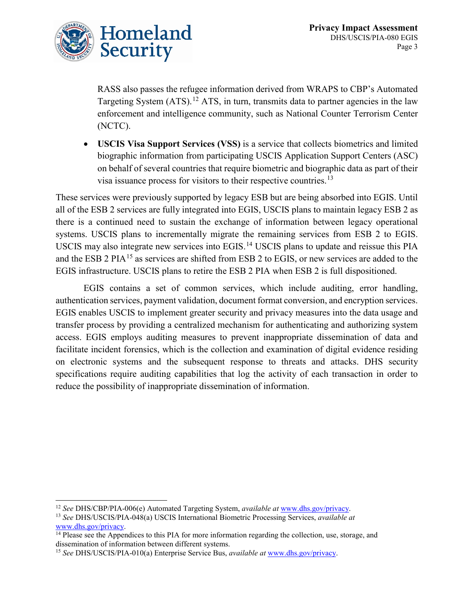

RASS also passes the refugee information derived from WRAPS to CBP's Automated Targeting System  $(ATS)$ .<sup>[12](#page-3-0)</sup> ATS, in turn, transmits data to partner agencies in the law enforcement and intelligence community, such as National Counter Terrorism Center (NCTC).

• **USCIS Visa Support Services (VSS)** is a service that collects biometrics and limited biographic information from participating USCIS Application Support Centers (ASC) on behalf of several countries that require biometric and biographic data as part of their visa issuance process for visitors to their respective countries.<sup>[13](#page-3-1)</sup>

These services were previously supported by legacy ESB but are being absorbed into EGIS. Until all of the ESB 2 services are fully integrated into EGIS, USCIS plans to maintain legacy ESB 2 as there is a continued need to sustain the exchange of information between legacy operational systems. USCIS plans to incrementally migrate the remaining services from ESB 2 to EGIS. USCIS may also integrate new services into EGIS.[14](#page-3-2) USCIS plans to update and reissue this PIA and the ESB 2 PIA<sup>[15](#page-3-3)</sup> as services are shifted from ESB 2 to EGIS, or new services are added to the EGIS infrastructure. USCIS plans to retire the ESB 2 PIA when ESB 2 is full dispositioned.

EGIS contains a set of common services, which include auditing, error handling, authentication services, payment validation, document format conversion, and encryption services. EGIS enables USCIS to implement greater security and privacy measures into the data usage and transfer process by providing a centralized mechanism for authenticating and authorizing system access. EGIS employs auditing measures to prevent inappropriate dissemination of data and facilitate incident forensics, which is the collection and examination of digital evidence residing on electronic systems and the subsequent response to threats and attacks. DHS security specifications require auditing capabilities that log the activity of each transaction in order to reduce the possibility of inappropriate dissemination of information.

<span id="page-3-0"></span> <sup>12</sup> *See* DHS/CBP/PIA-006(e) Automated Targeting System, *available at* [www.dhs.gov/privacy.](http://www.dhs.gov/privacy)

<span id="page-3-1"></span><sup>13</sup> *See* DHS/USCIS/PIA-048(a) USCIS International Biometric Processing Services, *available at*  [www.dhs.gov/privacy.](http://www.dhs.gov/privacy)

<span id="page-3-2"></span> $\frac{14 \text{ Please see the Appendices to this PIA for more information regarding the collection, use, storage, and}$ dissemination of information between different systems.

<span id="page-3-3"></span><sup>15</sup> *See* DHS/USCIS/PIA-010(a) Enterprise Service Bus, *available at* [www.dhs.gov/privacy.](http://www.dhs.gov/privacy)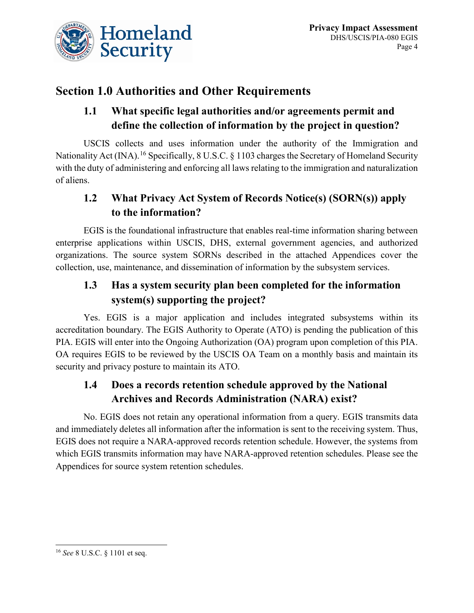

# **Section 1.0 Authorities and Other Requirements**

### **1.1 What specific legal authorities and/or agreements permit and define the collection of information by the project in question?**

USCIS collects and uses information under the authority of the Immigration and Nationality Act (INA).<sup>[16](#page-4-0)</sup> Specifically, 8 U.S.C. § 1103 charges the Secretary of Homeland Security with the duty of administering and enforcing all laws relating to the immigration and naturalization of aliens.

### **1.2 What Privacy Act System of Records Notice(s) (SORN(s)) apply to the information?**

EGIS is the foundational infrastructure that enables real-time information sharing between enterprise applications within USCIS, DHS, external government agencies, and authorized organizations. The source system SORNs described in the attached Appendices cover the collection, use, maintenance, and dissemination of information by the subsystem services.

# **1.3 Has a system security plan been completed for the information system(s) supporting the project?**

Yes. EGIS is a major application and includes integrated subsystems within its accreditation boundary. The EGIS Authority to Operate (ATO) is pending the publication of this PIA. EGIS will enter into the Ongoing Authorization (OA) program upon completion of this PIA. OA requires EGIS to be reviewed by the USCIS OA Team on a monthly basis and maintain its security and privacy posture to maintain its ATO.

### **1.4 Does a records retention schedule approved by the National Archives and Records Administration (NARA) exist?**

No. EGIS does not retain any operational information from a query. EGIS transmits data and immediately deletes all information after the information is sent to the receiving system. Thus, EGIS does not require a NARA-approved records retention schedule. However, the systems from which EGIS transmits information may have NARA-approved retention schedules. Please see the Appendices for source system retention schedules.

<span id="page-4-0"></span> <sup>16</sup> *See* 8 U.S.C. § 1101 et seq.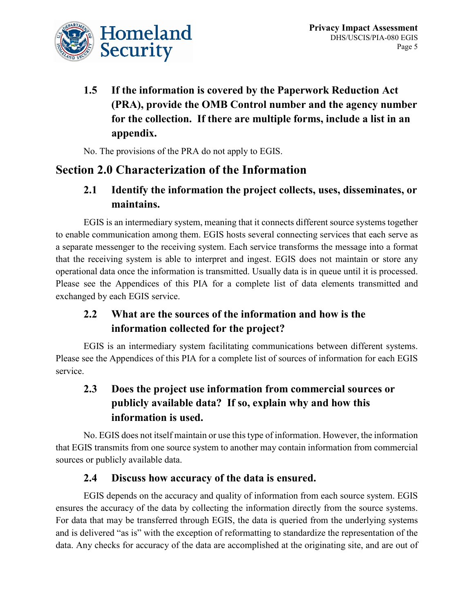

**1.5 If the information is covered by the Paperwork Reduction Act (PRA), provide the OMB Control number and the agency number for the collection. If there are multiple forms, include a list in an appendix.** 

No. The provisions of the PRA do not apply to EGIS.

# **Section 2.0 Characterization of the Information**

### **2.1 Identify the information the project collects, uses, disseminates, or maintains.**

EGIS is an intermediary system, meaning that it connects different source systems together to enable communication among them. EGIS hosts several connecting services that each serve as a separate messenger to the receiving system. Each service transforms the message into a format that the receiving system is able to interpret and ingest. EGIS does not maintain or store any operational data once the information is transmitted. Usually data is in queue until it is processed. Please see the Appendices of this PIA for a complete list of data elements transmitted and exchanged by each EGIS service.

# **2.2 What are the sources of the information and how is the information collected for the project?**

EGIS is an intermediary system facilitating communications between different systems. Please see the Appendices of this PIA for a complete list of sources of information for each EGIS service.

### **2.3 Does the project use information from commercial sources or publicly available data? If so, explain why and how this information is used.**

No. EGIS does not itself maintain or use this type of information. However, the information that EGIS transmits from one source system to another may contain information from commercial sources or publicly available data.

### **2.4 Discuss how accuracy of the data is ensured.**

EGIS depends on the accuracy and quality of information from each source system. EGIS ensures the accuracy of the data by collecting the information directly from the source systems. For data that may be transferred through EGIS, the data is queried from the underlying systems and is delivered "as is" with the exception of reformatting to standardize the representation of the data. Any checks for accuracy of the data are accomplished at the originating site, and are out of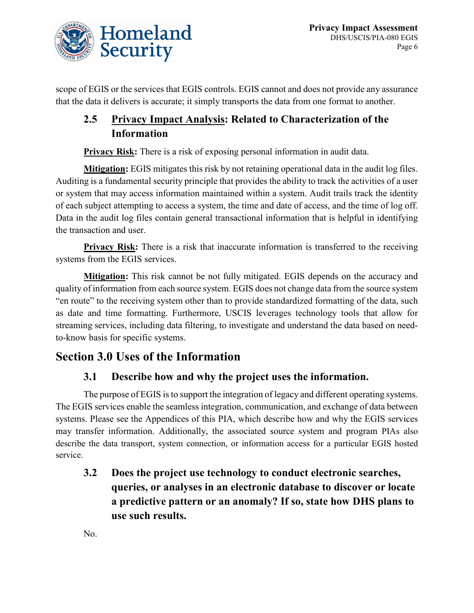

scope of EGIS or the services that EGIS controls. EGIS cannot and does not provide any assurance that the data it delivers is accurate; it simply transports the data from one format to another.

### **2.5 Privacy Impact Analysis: Related to Characterization of the Information**

**Privacy Risk:** There is a risk of exposing personal information in audit data.

**Mitigation:** EGIS mitigates this risk by not retaining operational data in the audit log files. Auditing is a fundamental security principle that provides the ability to track the activities of a user or system that may access information maintained within a system. Audit trails track the identity of each subject attempting to access a system, the time and date of access, and the time of log off. Data in the audit log files contain general transactional information that is helpful in identifying the transaction and user.

**Privacy Risk:** There is a risk that inaccurate information is transferred to the receiving systems from the EGIS services.

**Mitigation:** This risk cannot be not fully mitigated. EGIS depends on the accuracy and quality of information from each source system. EGIS does not change data from the source system "en route" to the receiving system other than to provide standardized formatting of the data, such as date and time formatting. Furthermore, USCIS leverages technology tools that allow for streaming services, including data filtering, to investigate and understand the data based on needto-know basis for specific systems.

# **Section 3.0 Uses of the Information**

### **3.1 Describe how and why the project uses the information.**

The purpose of EGIS is to support the integration of legacy and different operating systems. The EGIS services enable the seamless integration, communication, and exchange of data between systems. Please see the Appendices of this PIA, which describe how and why the EGIS services may transfer information. Additionally, the associated source system and program PIAs also describe the data transport, system connection, or information access for a particular EGIS hosted service.

**3.2 Does the project use technology to conduct electronic searches, queries, or analyses in an electronic database to discover or locate a predictive pattern or an anomaly? If so, state how DHS plans to use such results.** 

No.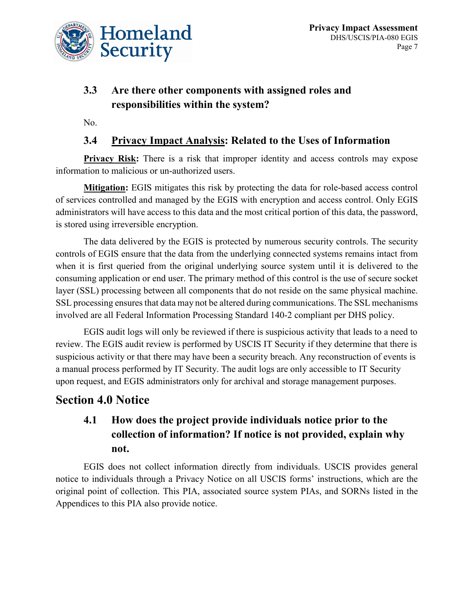

### **3.3 Are there other components with assigned roles and responsibilities within the system?**

No.

### **3.4 Privacy Impact Analysis: Related to the Uses of Information**

**Privacy Risk:** There is a risk that improper identity and access controls may expose information to malicious or un-authorized users.

**Mitigation:** EGIS mitigates this risk by protecting the data for role-based access control of services controlled and managed by the EGIS with encryption and access control. Only EGIS administrators will have access to this data and the most critical portion of this data, the password, is stored using irreversible encryption.

The data delivered by the EGIS is protected by numerous security controls. The security controls of EGIS ensure that the data from the underlying connected systems remains intact from when it is first queried from the original underlying source system until it is delivered to the consuming application or end user. The primary method of this control is the use of secure socket layer (SSL) processing between all components that do not reside on the same physical machine. SSL processing ensures that data may not be altered during communications. The SSL mechanisms involved are all Federal Information Processing Standard 140-2 compliant per DHS policy.

EGIS audit logs will only be reviewed if there is suspicious activity that leads to a need to review. The EGIS audit review is performed by USCIS IT Security if they determine that there is suspicious activity or that there may have been a security breach. Any reconstruction of events is a manual process performed by IT Security. The audit logs are only accessible to IT Security upon request, and EGIS administrators only for archival and storage management purposes.

### **Section 4.0 Notice**

# **4.1 How does the project provide individuals notice prior to the collection of information? If notice is not provided, explain why not.**

EGIS does not collect information directly from individuals. USCIS provides general notice to individuals through a Privacy Notice on all USCIS forms' instructions, which are the original point of collection. This PIA, associated source system PIAs, and SORNs listed in the Appendices to this PIA also provide notice.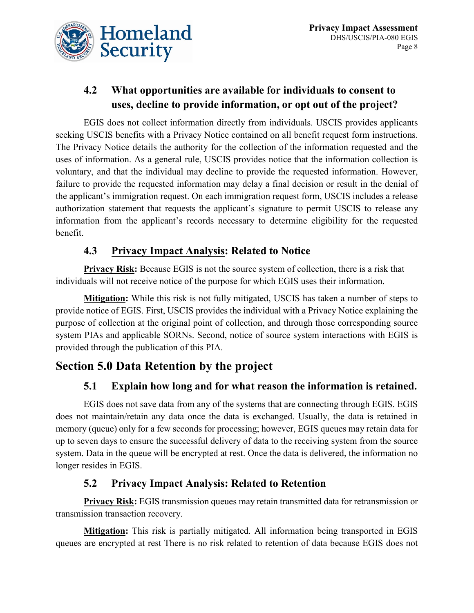

# **4.2 What opportunities are available for individuals to consent to uses, decline to provide information, or opt out of the project?**

EGIS does not collect information directly from individuals. USCIS provides applicants seeking USCIS benefits with a Privacy Notice contained on all benefit request form instructions. The Privacy Notice details the authority for the collection of the information requested and the uses of information. As a general rule, USCIS provides notice that the information collection is voluntary, and that the individual may decline to provide the requested information. However, failure to provide the requested information may delay a final decision or result in the denial of the applicant's immigration request. On each immigration request form, USCIS includes a release authorization statement that requests the applicant's signature to permit USCIS to release any information from the applicant's records necessary to determine eligibility for the requested benefit.

### **4.3 Privacy Impact Analysis: Related to Notice**

**Privacy Risk:** Because EGIS is not the source system of collection, there is a risk that individuals will not receive notice of the purpose for which EGIS uses their information.

**Mitigation:** While this risk is not fully mitigated, USCIS has taken a number of steps to provide notice of EGIS. First, USCIS provides the individual with a Privacy Notice explaining the purpose of collection at the original point of collection, and through those corresponding source system PIAs and applicable SORNs. Second, notice of source system interactions with EGIS is provided through the publication of this PIA.

# **Section 5.0 Data Retention by the project**

### **5.1 Explain how long and for what reason the information is retained.**

EGIS does not save data from any of the systems that are connecting through EGIS. EGIS does not maintain/retain any data once the data is exchanged. Usually, the data is retained in memory (queue) only for a few seconds for processing; however, EGIS queues may retain data for up to seven days to ensure the successful delivery of data to the receiving system from the source system. Data in the queue will be encrypted at rest. Once the data is delivered, the information no longer resides in EGIS.

### **5.2 Privacy Impact Analysis: Related to Retention**

**Privacy Risk:** EGIS transmission queues may retain transmitted data for retransmission or transmission transaction recovery.

**Mitigation:** This risk is partially mitigated. All information being transported in EGIS queues are encrypted at rest There is no risk related to retention of data because EGIS does not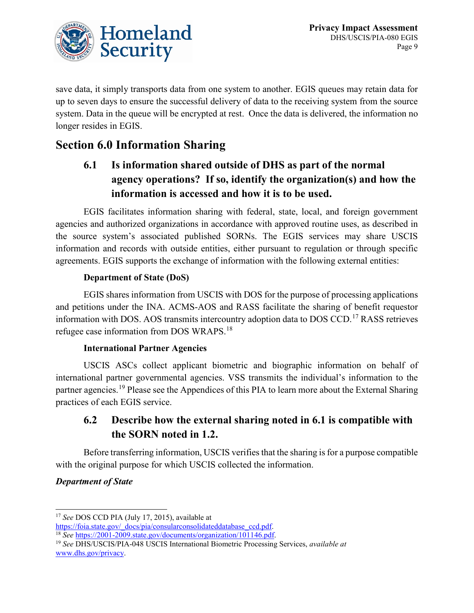

save data, it simply transports data from one system to another. EGIS queues may retain data for up to seven days to ensure the successful delivery of data to the receiving system from the source system. Data in the queue will be encrypted at rest. Once the data is delivered, the information no longer resides in EGIS.

# **Section 6.0 Information Sharing**

# **6.1 Is information shared outside of DHS as part of the normal agency operations? If so, identify the organization(s) and how the information is accessed and how it is to be used.**

EGIS facilitates information sharing with federal, state, local, and foreign government agencies and authorized organizations in accordance with approved routine uses, as described in the source system's associated published SORNs. The EGIS services may share USCIS information and records with outside entities, either pursuant to regulation or through specific agreements. EGIS supports the exchange of information with the following external entities:

### **Department of State (DoS)**

EGIS shares information from USCIS with DOS for the purpose of processing applications and petitions under the INA. ACMS-AOS and RASS facilitate the sharing of benefit requestor information with DOS. AOS transmits intercountry adoption data to DOS CCD.<sup>[17](#page-9-0)</sup> RASS retrieves refugee case information from DOS WRAPS.[18](#page-9-1)

### **International Partner Agencies**

USCIS ASCs collect applicant biometric and biographic information on behalf of international partner governmental agencies. VSS transmits the individual's information to the partner agencies.<sup>[19](#page-9-2)</sup> Please see the Appendices of this PIA to learn more about the External Sharing practices of each EGIS service.

### **6.2 Describe how the external sharing noted in 6.1 is compatible with the SORN noted in 1.2.**

Before transferring information, USCIS verifies that the sharing is for a purpose compatible with the original purpose for which USCIS collected the information.

### *Department of State*

<span id="page-9-0"></span><sup>&</sup>lt;sup>17</sup> *See* DOS CCD PIA (July 17, 2015), available at https://foia.state.gov/ docs/pia/consularconsolidateddatabase ccd.pdf.

<span id="page-9-1"></span><sup>&</sup>lt;sup>18</sup> See [https://2001-2009.state.gov/documents/organization/101146.pdf.](https://2001-2009.state.gov/documents/organization/101146.pdf)

<span id="page-9-2"></span><sup>19</sup> *See* DHS/USCIS/PIA-048 USCIS International Biometric Processing Services, *available at* [www.dhs.gov/privacy.](http://www.dhs.gov/privacy)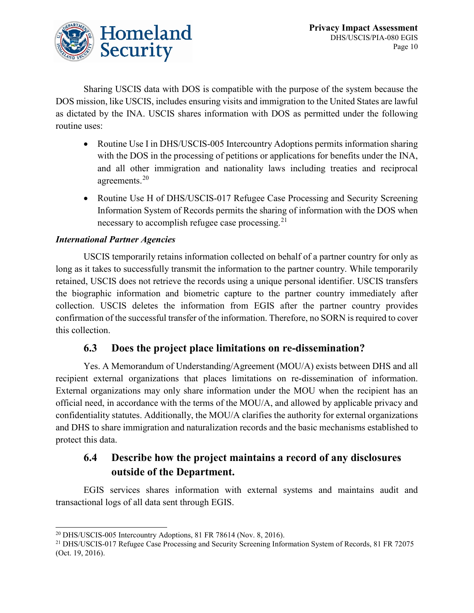

Sharing USCIS data with DOS is compatible with the purpose of the system because the DOS mission, like USCIS, includes ensuring visits and immigration to the United States are lawful as dictated by the INA. USCIS shares information with DOS as permitted under the following routine uses:

- Routine Use I in DHS/USCIS-005 Intercountry Adoptions permits information sharing with the DOS in the processing of petitions or applications for benefits under the INA, and all other immigration and nationality laws including treaties and reciprocal agreements.<sup>[20](#page-10-0)</sup>
- Routine Use H of DHS/USCIS-017 Refugee Case Processing and Security Screening Information System of Records permits the sharing of information with the DOS when necessary to accomplish refugee case processing.  $2<sup>1</sup>$

### *International Partner Agencies*

USCIS temporarily retains information collected on behalf of a partner country for only as long as it takes to successfully transmit the information to the partner country. While temporarily retained, USCIS does not retrieve the records using a unique personal identifier. USCIS transfers the biographic information and biometric capture to the partner country immediately after collection. USCIS deletes the information from EGIS after the partner country provides confirmation of the successful transfer of the information. Therefore, no SORN is required to cover this collection.

### **6.3 Does the project place limitations on re-dissemination?**

Yes. A Memorandum of Understanding/Agreement (MOU/A) exists between DHS and all recipient external organizations that places limitations on re-dissemination of information. External organizations may only share information under the MOU when the recipient has an official need, in accordance with the terms of the MOU/A, and allowed by applicable privacy and confidentiality statutes. Additionally, the MOU/A clarifies the authority for external organizations and DHS to share immigration and naturalization records and the basic mechanisms established to protect this data.

### **6.4 Describe how the project maintains a record of any disclosures outside of the Department.**

EGIS services shares information with external systems and maintains audit and transactional logs of all data sent through EGIS.

<span id="page-10-0"></span> $20$  DHS/USCIS-005 Intercountry Adoptions, 81 FR 78614 (Nov. 8, 2016).

<span id="page-10-1"></span><sup>&</sup>lt;sup>21</sup> DHS/USCIS-017 Refugee Case Processing and Security Screening Information System of Records, 81 FR 72075 (Oct. 19, 2016).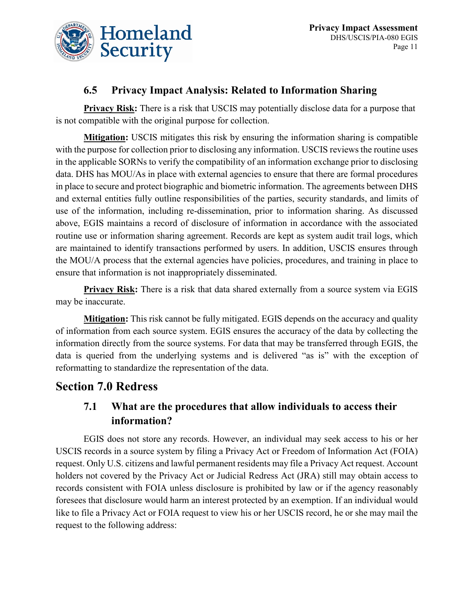

### **6.5 Privacy Impact Analysis: Related to Information Sharing**

**Privacy Risk:** There is a risk that USCIS may potentially disclose data for a purpose that is not compatible with the original purpose for collection.

**Mitigation:** USCIS mitigates this risk by ensuring the information sharing is compatible with the purpose for collection prior to disclosing any information. USCIS reviews the routine uses in the applicable SORNs to verify the compatibility of an information exchange prior to disclosing data. DHS has MOU/As in place with external agencies to ensure that there are formal procedures in place to secure and protect biographic and biometric information. The agreements between DHS and external entities fully outline responsibilities of the parties, security standards, and limits of use of the information, including re-dissemination, prior to information sharing. As discussed above, EGIS maintains a record of disclosure of information in accordance with the associated routine use or information sharing agreement. Records are kept as system audit trail logs, which are maintained to identify transactions performed by users. In addition, USCIS ensures through the MOU/A process that the external agencies have policies, procedures, and training in place to ensure that information is not inappropriately disseminated.

**Privacy Risk:** There is a risk that data shared externally from a source system via EGIS may be inaccurate.

**Mitigation:** This risk cannot be fully mitigated. EGIS depends on the accuracy and quality of information from each source system. EGIS ensures the accuracy of the data by collecting the information directly from the source systems. For data that may be transferred through EGIS, the data is queried from the underlying systems and is delivered "as is" with the exception of reformatting to standardize the representation of the data.

### **Section 7.0 Redress**

### **7.1 What are the procedures that allow individuals to access their information?**

EGIS does not store any records. However, an individual may seek access to his or her USCIS records in a source system by filing a Privacy Act or Freedom of Information Act (FOIA) request. Only U.S. citizens and lawful permanent residents may file a Privacy Act request. Account holders not covered by the Privacy Act or Judicial Redress Act (JRA) still may obtain access to records consistent with FOIA unless disclosure is prohibited by law or if the agency reasonably foresees that disclosure would harm an interest protected by an exemption. If an individual would like to file a Privacy Act or FOIA request to view his or her USCIS record, he or she may mail the request to the following address: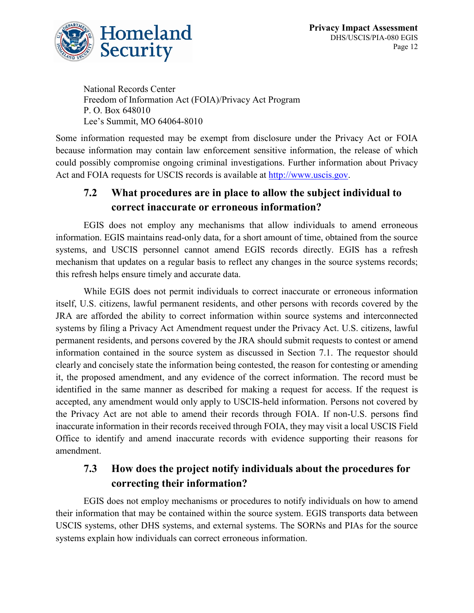

National Records Center Freedom of Information Act (FOIA)/Privacy Act Program P. O. Box 648010 Lee's Summit, MO 64064-8010

Some information requested may be exempt from disclosure under the Privacy Act or FOIA because information may contain law enforcement sensitive information, the release of which could possibly compromise ongoing criminal investigations. Further information about Privacy Act and FOIA requests for USCIS records is available at [http://www.uscis.gov.](http://www.uscis.gov/)

### **7.2 What procedures are in place to allow the subject individual to correct inaccurate or erroneous information?**

EGIS does not employ any mechanisms that allow individuals to amend erroneous information. EGIS maintains read-only data, for a short amount of time, obtained from the source systems, and USCIS personnel cannot amend EGIS records directly. EGIS has a refresh mechanism that updates on a regular basis to reflect any changes in the source systems records; this refresh helps ensure timely and accurate data.

While EGIS does not permit individuals to correct inaccurate or erroneous information itself, U.S. citizens, lawful permanent residents, and other persons with records covered by the JRA are afforded the ability to correct information within source systems and interconnected systems by filing a Privacy Act Amendment request under the Privacy Act. U.S. citizens, lawful permanent residents, and persons covered by the JRA should submit requests to contest or amend information contained in the source system as discussed in Section 7.1. The requestor should clearly and concisely state the information being contested, the reason for contesting or amending it, the proposed amendment, and any evidence of the correct information. The record must be identified in the same manner as described for making a request for access. If the request is accepted, any amendment would only apply to USCIS-held information. Persons not covered by the Privacy Act are not able to amend their records through FOIA. If non-U.S. persons find inaccurate information in their records received through FOIA, they may visit a local USCIS Field Office to identify and amend inaccurate records with evidence supporting their reasons for amendment.

### **7.3 How does the project notify individuals about the procedures for correcting their information?**

EGIS does not employ mechanisms or procedures to notify individuals on how to amend their information that may be contained within the source system. EGIS transports data between USCIS systems, other DHS systems, and external systems. The SORNs and PIAs for the source systems explain how individuals can correct erroneous information.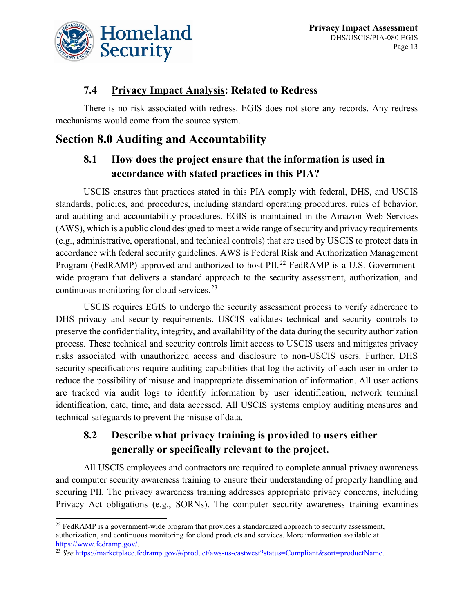

### **7.4 Privacy Impact Analysis: Related to Redress**

There is no risk associated with redress. EGIS does not store any records. Any redress mechanisms would come from the source system.

# **Section 8.0 Auditing and Accountability**

### **8.1 How does the project ensure that the information is used in accordance with stated practices in this PIA?**

USCIS ensures that practices stated in this PIA comply with federal, DHS, and USCIS standards, policies, and procedures, including standard operating procedures, rules of behavior, and auditing and accountability procedures. EGIS is maintained in the Amazon Web Services (AWS), which is a public cloud designed to meet a wide range of security and privacy requirements (e.g., administrative, operational, and technical controls) that are used by USCIS to protect data in accordance with federal security guidelines. AWS is Federal Risk and Authorization Management Program (FedRAMP)-approved and authorized to host PII.<sup>[22](#page-13-0)</sup> FedRAMP is a U.S. Governmentwide program that delivers a standard approach to the security assessment, authorization, and continuous monitoring for cloud services.<sup>[23](#page-13-1)</sup>

USCIS requires EGIS to undergo the security assessment process to verify adherence to DHS privacy and security requirements. USCIS validates technical and security controls to preserve the confidentiality, integrity, and availability of the data during the security authorization process. These technical and security controls limit access to USCIS users and mitigates privacy risks associated with unauthorized access and disclosure to non-USCIS users. Further, DHS security specifications require auditing capabilities that log the activity of each user in order to reduce the possibility of misuse and inappropriate dissemination of information. All user actions are tracked via audit logs to identify information by user identification, network terminal identification, date, time, and data accessed. All USCIS systems employ auditing measures and technical safeguards to prevent the misuse of data.

# **8.2 Describe what privacy training is provided to users either generally or specifically relevant to the project.**

All USCIS employees and contractors are required to complete annual privacy awareness and computer security awareness training to ensure their understanding of properly handling and securing PII. The privacy awareness training addresses appropriate privacy concerns, including Privacy Act obligations (e.g., SORNs). The computer security awareness training examines

<span id="page-13-0"></span> $^{22}$  FedRAMP is a government-wide program that provides a standardized approach to security assessment, authorization, and continuous monitoring for cloud products and services. More information available at https://www.fedramp.gov/.

<span id="page-13-1"></span><sup>&</sup>lt;sup>23</sup> See [https://marketplace.fedramp.gov/#/product/aws-us-eastwest?status=Compliant&sort=productName.](https://marketplace.fedramp.gov/#/product/aws-us-eastwest?status=Compliant&sort=productName)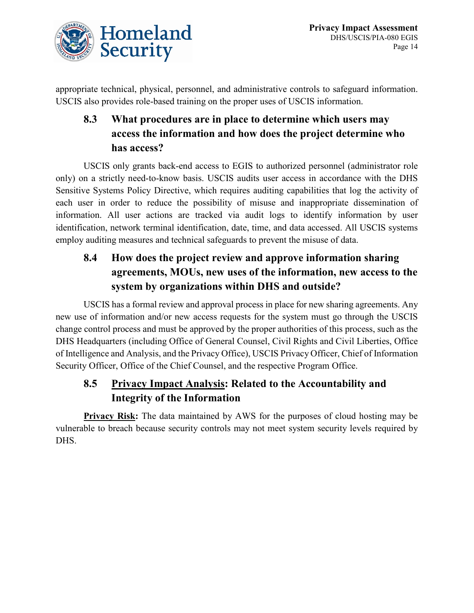

appropriate technical, physical, personnel, and administrative controls to safeguard information. USCIS also provides role-based training on the proper uses of USCIS information.

# **8.3 What procedures are in place to determine which users may access the information and how does the project determine who has access?**

USCIS only grants back-end access to EGIS to authorized personnel (administrator role only) on a strictly need-to-know basis. USCIS audits user access in accordance with the DHS Sensitive Systems Policy Directive, which requires auditing capabilities that log the activity of each user in order to reduce the possibility of misuse and inappropriate dissemination of information. All user actions are tracked via audit logs to identify information by user identification, network terminal identification, date, time, and data accessed. All USCIS systems employ auditing measures and technical safeguards to prevent the misuse of data.

# **8.4 How does the project review and approve information sharing agreements, MOUs, new uses of the information, new access to the system by organizations within DHS and outside?**

USCIS has a formal review and approval process in place for new sharing agreements. Any new use of information and/or new access requests for the system must go through the USCIS change control process and must be approved by the proper authorities of this process, such as the DHS Headquarters (including Office of General Counsel, Civil Rights and Civil Liberties, Office of Intelligence and Analysis, and the Privacy Office), USCIS Privacy Officer, Chief of Information Security Officer, Office of the Chief Counsel, and the respective Program Office.

# **8.5 Privacy Impact Analysis: Related to the Accountability and Integrity of the Information**

**Privacy Risk:** The data maintained by AWS for the purposes of cloud hosting may be vulnerable to breach because security controls may not meet system security levels required by DHS.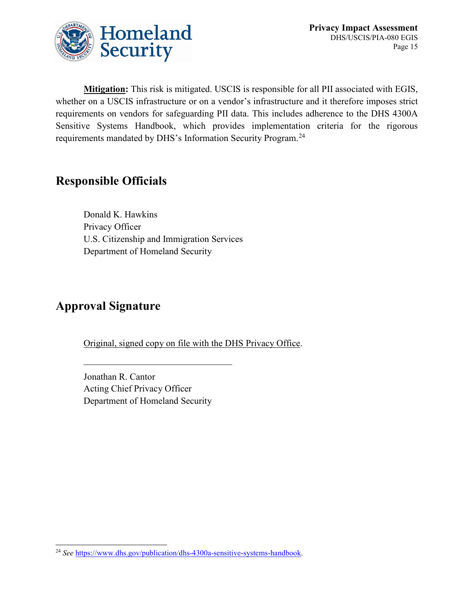

**Mitigation:** This risk is mitigated. USCIS is responsible for all PII associated with EGIS, whether on a USCIS infrastructure or on a vendor's infrastructure and it therefore imposes strict requirements on vendors for safeguarding PII data. This includes adherence to the DHS 4300A Sensitive Systems Handbook, which provides implementation criteria for the rigorous requirements mandated by DHS's Information Security Program.[24](#page-15-0)

# **Responsible Officials**

Donald K. Hawkins Privacy Officer U.S. Citizenship and Immigration Services Department of Homeland Security

# **Approval Signature**

Original, signed copy on file with the DHS Privacy Office.

Jonathan R. Cantor Acting Chief Privacy Officer Department of Homeland Security

<span id="page-15-0"></span> <sup>24</sup> *See* [https://www.dhs.gov/publication/dhs-4300a-sensitive-systems-handbook.](https://www.dhs.gov/publication/dhs-4300a-sensitive-systems-handbook)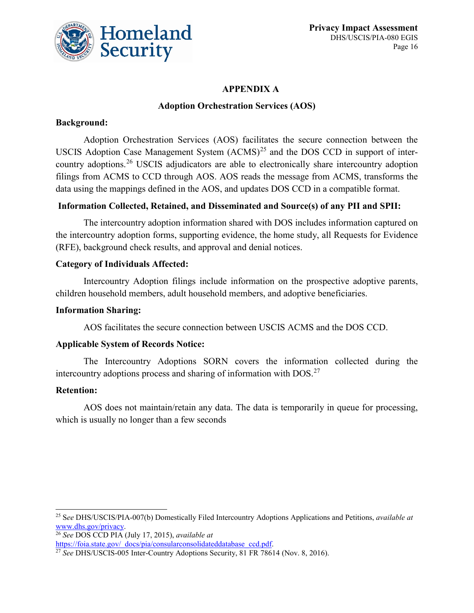

### **APPENDIX A**

### **Adoption Orchestration Services (AOS)**

### **Background:**

Adoption Orchestration Services (AOS) facilitates the secure connection between the USCIS Adoption Case Management System  $(ACMS)^{25}$  $(ACMS)^{25}$  $(ACMS)^{25}$  and the DOS CCD in support of intercountry adoptions.[26](#page-16-1) USCIS adjudicators are able to electronically share intercountry adoption filings from ACMS to CCD through AOS. AOS reads the message from ACMS, transforms the data using the mappings defined in the AOS, and updates DOS CCD in a compatible format.

### **Information Collected, Retained, and Disseminated and Source(s) of any PII and SPII:**

The intercountry adoption information shared with DOS includes information captured on the intercountry adoption forms, supporting evidence, the home study, all Requests for Evidence (RFE), background check results, and approval and denial notices.

### **Category of Individuals Affected:**

Intercountry Adoption filings include information on the prospective adoptive parents, children household members, adult household members, and adoptive beneficiaries.

### **Information Sharing:**

AOS facilitates the secure connection between USCIS ACMS and the DOS CCD.

### **Applicable System of Records Notice:**

The Intercountry Adoptions SORN covers the information collected during the intercountry adoptions process and sharing of information with  $DOS<sup>27</sup>$  $DOS<sup>27</sup>$  $DOS<sup>27</sup>$ 

### **Retention:**

AOS does not maintain/retain any data. The data is temporarily in queue for processing, which is usually no longer than a few seconds

<span id="page-16-1"></span><sup>26</sup> *See* DOS CCD PIA (July 17, 2015), *available at*  [https://foia.state.gov/\\_docs/pia/consularconsolidateddatabase\\_ccd.pdf.](https://foia.state.gov/_docs/pia/consularconsolidateddatabase_ccd.pdf)

<span id="page-16-0"></span> <sup>25</sup> <sup>S</sup>*ee* DHS/USCIS/PIA-007(b) Domestically Filed Intercountry Adoptions Applications and Petitions, *available at*  [www.dhs.gov/privacy.](http://www.dhs.gov/privacy)

<span id="page-16-2"></span><sup>27</sup> *See* DHS/USCIS-005 Inter-Country Adoptions Security, 81 FR 78614 (Nov. 8, 2016).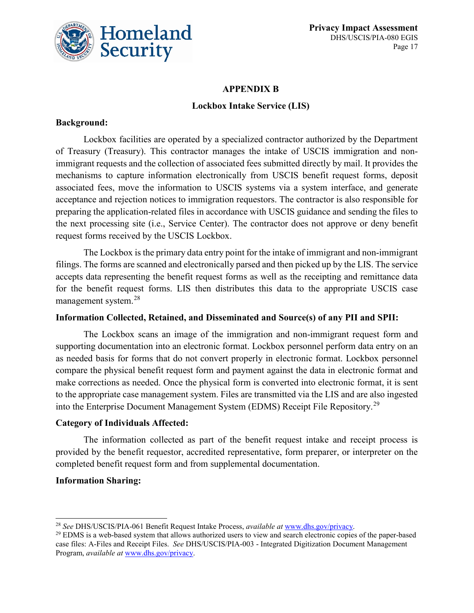

#### **APPENDIX B**

#### **Lockbox Intake Service (LIS)**

#### **Background:**

Lockbox facilities are operated by a specialized contractor authorized by the Department of Treasury (Treasury). This contractor manages the intake of USCIS immigration and nonimmigrant requests and the collection of associated fees submitted directly by mail. It provides the mechanisms to capture information electronically from USCIS benefit request forms, deposit associated fees, move the information to USCIS systems via a system interface, and generate acceptance and rejection notices to immigration requestors. The contractor is also responsible for preparing the application-related files in accordance with USCIS guidance and sending the files to the next processing site (i.e., Service Center). The contractor does not approve or deny benefit request forms received by the USCIS Lockbox.

The Lockbox is the primary data entry point for the intake of immigrant and non-immigrant filings. The forms are scanned and electronically parsed and then picked up by the LIS. The service accepts data representing the benefit request forms as well as the receipting and remittance data for the benefit request forms. LIS then distributes this data to the appropriate USCIS case management system.[28](#page-17-0)

#### **Information Collected, Retained, and Disseminated and Source(s) of any PII and SPII:**

The Lockbox scans an image of the immigration and non-immigrant request form and supporting documentation into an electronic format. Lockbox personnel perform data entry on an as needed basis for forms that do not convert properly in electronic format. Lockbox personnel compare the physical benefit request form and payment against the data in electronic format and make corrections as needed. Once the physical form is converted into electronic format, it is sent to the appropriate case management system. Files are transmitted via the LIS and are also ingested into the Enterprise Document Management System (EDMS) Receipt File Repository.[29](#page-17-1)

#### **Category of Individuals Affected:**

The information collected as part of the benefit request intake and receipt process is provided by the benefit requestor, accredited representative, form preparer, or interpreter on the completed benefit request form and from supplemental documentation.

### **Information Sharing:**

<span id="page-17-0"></span> <sup>28</sup> *See* DHS/USCIS/PIA-061 Benefit Request Intake Process, *available at* [www.dhs.gov/privacy.](http://www.dhs.gov/privacy)

<span id="page-17-1"></span> $^{29}$  EDMS is a web-based system that allows authorized users to view and search electronic copies of the paper-based case files: A-Files and Receipt Files. *See* DHS/USCIS/PIA-003 - Integrated Digitization Document Management Program, *available at* [www.dhs.gov/privacy.](http://www.dhs.gov/privacy)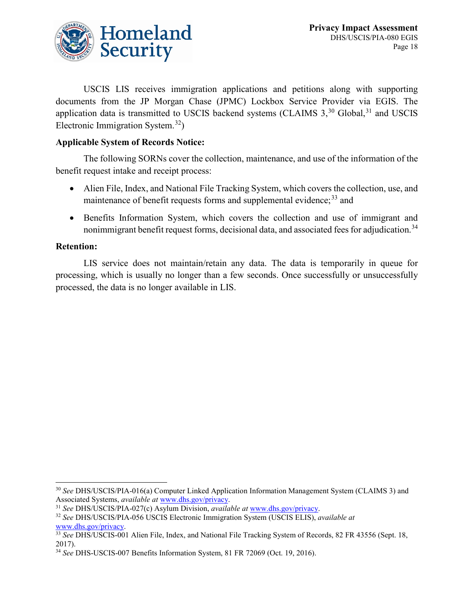

USCIS LIS receives immigration applications and petitions along with supporting documents from the JP Morgan Chase (JPMC) Lockbox Service Provider via EGIS. The application data is transmitted to USCIS backend systems (CLAIMS  $3,^{30}$  $3,^{30}$  $3,^{30}$  Global,  $^{31}$  $^{31}$  $^{31}$  and USCIS Electronic Immigration System.<sup>[32](#page-18-2)</sup>)

### **Applicable System of Records Notice:**

The following SORNs cover the collection, maintenance, and use of the information of the benefit request intake and receipt process:

- Alien File, Index, and National File Tracking System, which covers the collection, use, and maintenance of benefit requests forms and supplemental evidence;  $33$  and
- Benefits Information System, which covers the collection and use of immigrant and nonimmigrant benefit request forms, decisional data, and associated fees for adjudication.<sup>[34](#page-18-4)</sup>

### **Retention:**

LIS service does not maintain/retain any data. The data is temporarily in queue for processing, which is usually no longer than a few seconds. Once successfully or unsuccessfully processed, the data is no longer available in LIS.

<span id="page-18-0"></span> <sup>30</sup> *See* DHS/USCIS/PIA-016(a) Computer Linked Application Information Management System (CLAIMS 3) and Associated Systems, *available at* [www.dhs.gov/privacy.](http://www.dhs.gov/privacy)

<span id="page-18-1"></span><sup>31</sup> *See* DHS/USCIS/PIA-027(c) Asylum Division, *available at* [www.dhs.gov/privacy.](http://www.dhs.gov/privacy)

<span id="page-18-2"></span><sup>32</sup> *See* DHS/USCIS/PIA-056 USCIS Electronic Immigration System (USCIS ELIS), *available at* [www.dhs.gov/privacy.](http://www.dhs.gov/privacy)

<span id="page-18-3"></span><sup>33</sup> *See* DHS/USCIS-001 Alien File, Index, and National File Tracking System of Records, 82 FR 43556 (Sept. 18, 2017).

<span id="page-18-4"></span><sup>34</sup> *See* DHS-USCIS-007 Benefits Information System, 81 FR 72069 (Oct. 19, 2016).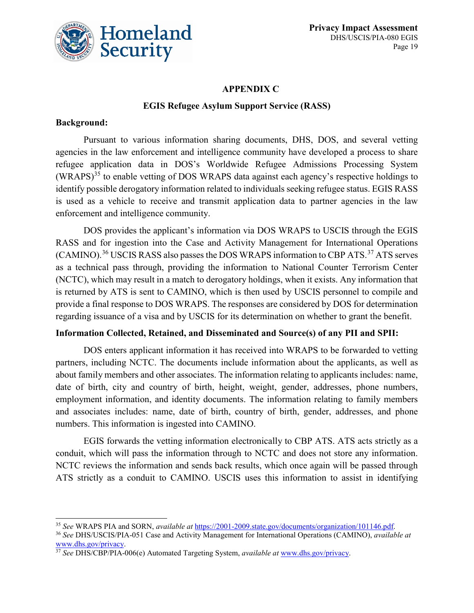

#### **APPENDIX C**

#### **EGIS Refugee Asylum Support Service (RASS)**

#### **Background:**

Pursuant to various information sharing documents, DHS, DOS, and several vetting agencies in the law enforcement and intelligence community have developed a process to share refugee application data in DOS's Worldwide Refugee Admissions Processing System  $(WRAPS)^{35}$  $(WRAPS)^{35}$  $(WRAPS)^{35}$  to enable vetting of DOS WRAPS data against each agency's respective holdings to identify possible derogatory information related to individuals seeking refugee status. EGIS RASS is used as a vehicle to receive and transmit application data to partner agencies in the law enforcement and intelligence community.

DOS provides the applicant's information via DOS WRAPS to USCIS through the EGIS RASS and for ingestion into the Case and Activity Management for International Operations (CAMINO).<sup>[36](#page-19-1)</sup> USCIS RASS also passes the DOS WRAPS information to CBP ATS.<sup>[37](#page-19-2)</sup> ATS serves as a technical pass through, providing the information to National Counter Terrorism Center (NCTC), which may result in a match to derogatory holdings, when it exists. Any information that is returned by ATS is sent to CAMINO, which is then used by USCIS personnel to compile and provide a final response to DOS WRAPS. The responses are considered by DOS for determination regarding issuance of a visa and by USCIS for its determination on whether to grant the benefit.

#### **Information Collected, Retained, and Disseminated and Source(s) of any PII and SPII:**

DOS enters applicant information it has received into WRAPS to be forwarded to vetting partners, including NCTC. The documents include information about the applicants, as well as about family members and other associates. The information relating to applicants includes: name, date of birth, city and country of birth, height, weight, gender, addresses, phone numbers, employment information, and identity documents. The information relating to family members and associates includes: name, date of birth, country of birth, gender, addresses, and phone numbers. This information is ingested into CAMINO.

EGIS forwards the vetting information electronically to CBP ATS. ATS acts strictly as a conduit, which will pass the information through to NCTC and does not store any information. NCTC reviews the information and sends back results, which once again will be passed through ATS strictly as a conduit to CAMINO. USCIS uses this information to assist in identifying

<span id="page-19-0"></span> <sup>35</sup> *See* WRAPS PIA and SORN, *available at* [https://2001-2009.state.gov/documents/organization/101146.pdf.](https://2001-2009.state.gov/documents/organization/101146.pdf)

<span id="page-19-1"></span><sup>36</sup> *See* DHS/USCIS/PIA-051 Case and Activity Management for International Operations (CAMINO), *available at* [www.dhs.gov/privacy.](http://www.dhs.gov/privacy)

<span id="page-19-2"></span><sup>37</sup> *See* DHS/CBP/PIA-006(e) Automated Targeting System, *available at* [www.dhs.gov/privacy.](http://www.dhs.gov/privacy)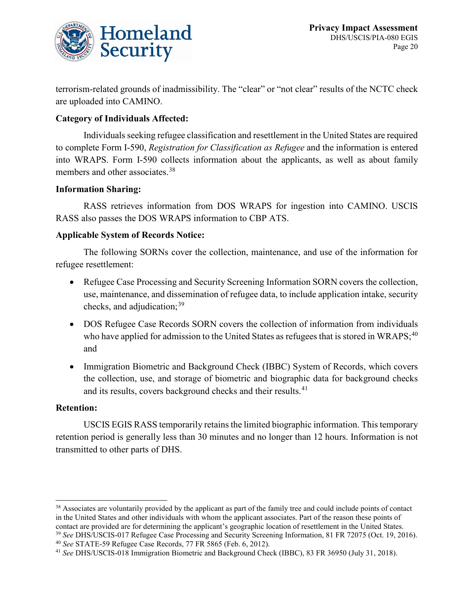

terrorism-related grounds of inadmissibility. The "clear" or "not clear" results of the NCTC check are uploaded into CAMINO.

### **Category of Individuals Affected:**

Individuals seeking refugee classification and resettlement in the United States are required to complete Form I-590, *Registration for Classification as Refugee* and the information is entered into WRAPS. Form I-590 collects information about the applicants, as well as about family members and other associates.<sup>[38](#page-20-0)</sup>

#### **Information Sharing:**

RASS retrieves information from DOS WRAPS for ingestion into CAMINO. USCIS RASS also passes the DOS WRAPS information to CBP ATS.

#### **Applicable System of Records Notice:**

The following SORNs cover the collection, maintenance, and use of the information for refugee resettlement:

- Refugee Case Processing and Security Screening Information SORN covers the collection, use, maintenance, and dissemination of refugee data, to include application intake, security checks, and adjudication;  $39$
- DOS Refugee Case Records SORN covers the collection of information from individuals who have applied for admission to the United States as refugees that is stored in WRAPS;  $40$ and
- Immigration Biometric and Background Check (IBBC) System of Records, which covers the collection, use, and storage of biometric and biographic data for background checks and its results, covers background checks and their results.<sup>[41](#page-20-3)</sup>

#### **Retention:**

USCIS EGIS RASS temporarily retains the limited biographic information. This temporary retention period is generally less than 30 minutes and no longer than 12 hours. Information is not transmitted to other parts of DHS.

<span id="page-20-0"></span><sup>&</sup>lt;sup>38</sup> Associates are voluntarily provided by the applicant as part of the family tree and could include points of contact in the United States and other individuals with whom the applicant associates. Part of the reason these points of contact are provided are for determining the applicant's geographic location of resettlement in the United States. <sup>39</sup> *See* DHS/USCIS-017 Refugee Case Processing and Security Screening Information, 81 FR 72075 (Oct. 19, 2016).

<span id="page-20-2"></span><span id="page-20-1"></span><sup>40</sup> *See* STATE-59 Refugee Case Records, 77 FR 5865 (Feb. 6, 2012).

<span id="page-20-3"></span><sup>41</sup> *See* DHS/USCIS-018 Immigration Biometric and Background Check (IBBC), 83 FR 36950 (July 31, 2018).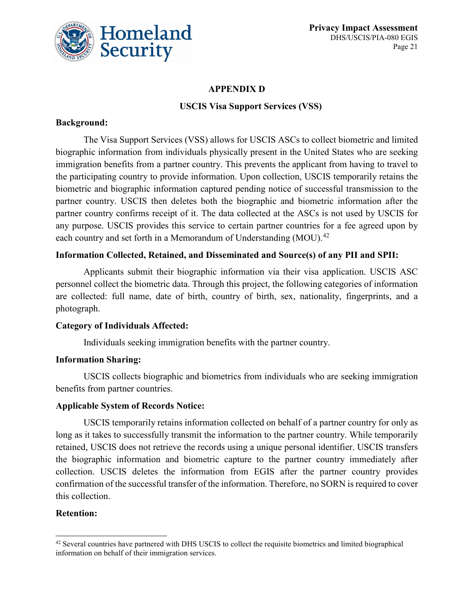

### **APPENDIX D**

### **USCIS Visa Support Services (VSS)**

### **Background:**

The Visa Support Services (VSS) allows for USCIS ASCs to collect biometric and limited biographic information from individuals physically present in the United States who are seeking immigration benefits from a partner country. This prevents the applicant from having to travel to the participating country to provide information. Upon collection, USCIS temporarily retains the biometric and biographic information captured pending notice of successful transmission to the partner country. USCIS then deletes both the biographic and biometric information after the partner country confirms receipt of it. The data collected at the ASCs is not used by USCIS for any purpose. USCIS provides this service to certain partner countries for a fee agreed upon by each country and set forth in a Memorandum of Understanding (MOU).<sup>[42](#page-21-0)</sup>

### **Information Collected, Retained, and Disseminated and Source(s) of any PII and SPII:**

Applicants submit their biographic information via their visa application. USCIS ASC personnel collect the biometric data. Through this project, the following categories of information are collected: full name, date of birth, country of birth, sex, nationality, fingerprints, and a photograph.

### **Category of Individuals Affected:**

Individuals seeking immigration benefits with the partner country.

### **Information Sharing:**

USCIS collects biographic and biometrics from individuals who are seeking immigration benefits from partner countries.

### **Applicable System of Records Notice:**

USCIS temporarily retains information collected on behalf of a partner country for only as long as it takes to successfully transmit the information to the partner country. While temporarily retained, USCIS does not retrieve the records using a unique personal identifier. USCIS transfers the biographic information and biometric capture to the partner country immediately after collection. USCIS deletes the information from EGIS after the partner country provides confirmation of the successful transfer of the information. Therefore, no SORN is required to cover this collection.

### **Retention:**

<span id="page-21-0"></span><sup>&</sup>lt;sup>42</sup> Several countries have partnered with DHS USCIS to collect the requisite biometrics and limited biographical information on behalf of their immigration services.